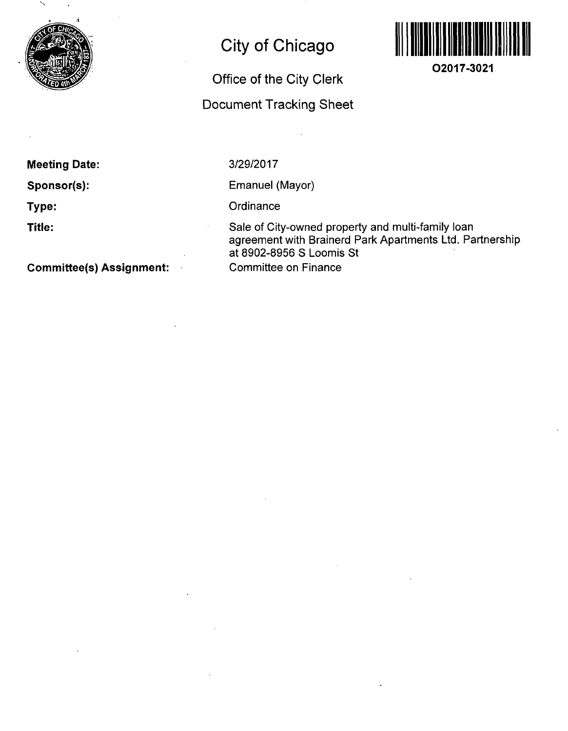

# **City of Chicago**

# **Office of the City Clerk Docunnent Tracking Sheet**



**O2017-3021** 

**Meeting Date:** 

**Sponsor(s):** 

**Type:** 

**Title:** 

**Committee(s) Assignment:** 

# 3/29/2017

Emanuel (Mayor)

**Ordinance** 

Sale of City-owned property and multi-family loan agreement with Brainerd Park Apartments Ltd. Partnership at 8902-8956 S Loomis St Committee on Finance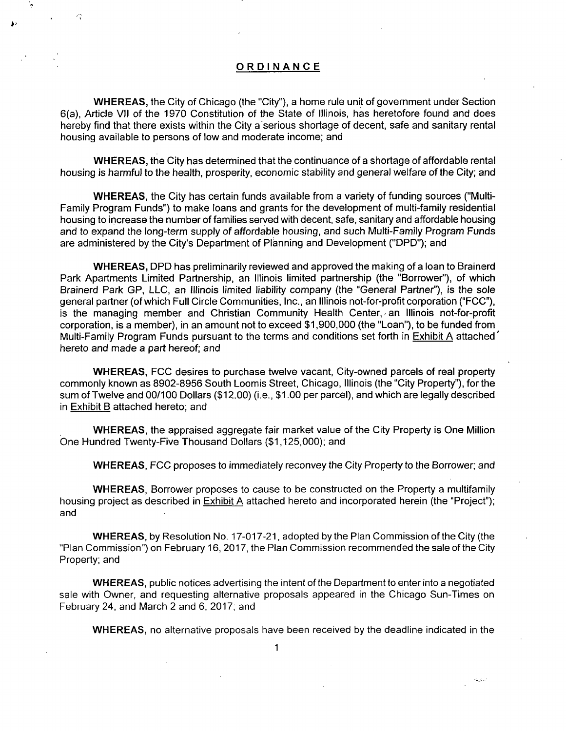# **ORDINANC E**

WHEREAS, the City of Chicago (the "City"), a home rule unit of government under Section 6(a), Article Vll of the 1970 Constitution of the State of Illinois, has heretofore found and does hereby find that there exists within the City a'serious shortage of decent, safe and sanitary rental housing available to persons of low and moderate income; and

WHEREAS, the City has determined that the continuance of a shortage of affordable rental housing is harmful to the health, prosperity, economic stability and general welfare ofthe City; and

WHEREAS, the City has certain funds available from a variety of funding sources ("Multi-Family Program Funds") to make loans and grants for the development of multi-family residential housing to increase the number of families served with decent, safe, sanitary and affordable housing and to expand the long-term supply of affordable housing, and such Multi-Family Program Funds are administered by the City's Department of Planning and Development ("DPD"); and

WHEREAS, DPD has preliminarily reviewed and approved the making of a loan to Brainerd Park Apartments Limited Partnership, an Illinois limited partnership (the "Borrower"), of which Brainerd Park GP, LLC, an Illinois limited liability company (the "General Partner"), is the sole general partner (of which Full Circle Communities, Inc., an Illinois not-for-profit corporation ("FCC"), is the managing member and Christian Community Health Center, an Illinois not-for-profit corporation, is a member), in an amount not to exceed \$1,900,000 (the "Loan"), to be funded from Multi-Family Program Funds pursuant to the terms and conditions set forth in Exhibit A attached' hereto and made a part hereof; and

WHEREAS, FCC desires to purchase twelve vacant. City-owned parcels of real property commonly known as 8902-8956 South Loomis Street, Chicago, Illinois (the "City Property"), forthe sum of Twelve and 00/100 Dollars (\$12.00) (i.e., \$1.00 per parcel), and which are legally described in Exhibit B attached hereto; and

WHEREAS, the appraised aggregate fair market value of the City Property is One Million One Hundred Twenty-Five Thousand Dollars (\$1,125,000); and

WHEREAS, FCC proposes to immediately reconvey the City Property to the Borrower; and

WHEREAS, Borrower proposes to cause to be constructed on the Property a multifamily housing project as described in Exhibit A attached hereto and incorporated herein (the "Project"); and

WHEREAS, by Resolution No. 17-017-21, adopted by the Plan Commission of the City (the "Plan Commission") on February 16, 2017, the Plan Commission recommended the sale ofthe City Property; and

WHEREAS, public notices advertising the intent ofthe Department to enter into a negotiated sale with Owner, and requesting alternative proposals appeared in the Chicago Sun-Times on February 24, and March 2 and 6, 2017; and

WHEREAS, no alternative proposals have been received by the deadline indicated in the

المائيية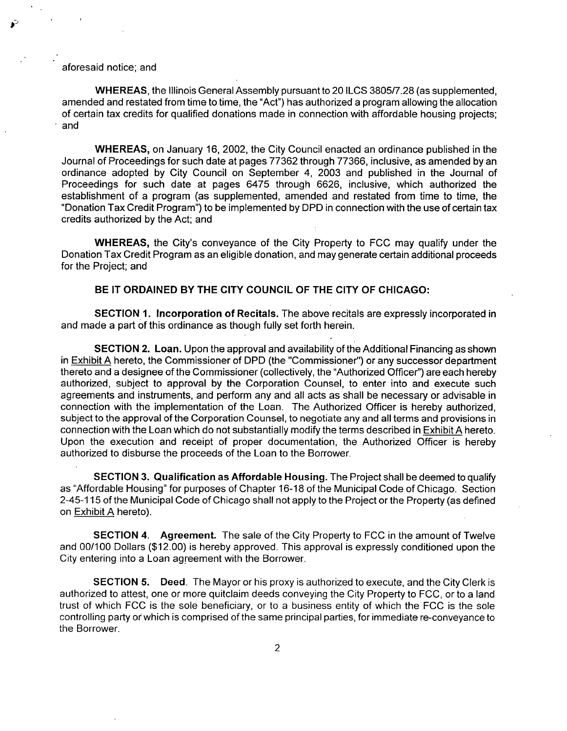# aforesaid notice; and

WHEREAS, the Illinois General Assembly pursuant to 20 ILCS 3805/7.28 (as supplemented, amended and restated from time to time, the "Act") has authorized a program allowing the allocation of certain tax credits for qualified donations made in connection with affordable housing projects; and

WHEREAS, on January 16, 2002, the City Council enacted an ordinance published in the Journal of Proceedings for such date at pages 77362 through 77366, inclusive, as amended by an ordinance adopted by City Council on September 4, 2003 and published in the Journal of Proceedings for such date at pages 6475 through 6626, inclusive, which authorized the establishment of a program (as supplemented, amended and restated from time to time, the "Donation Tax Credit Program") to be implemented by DPD in connection with the use of certain tax credits authorized by the Act; and

WHEREAS, the City's conveyance of the City Property to FCC may qualify under the Donation Tax Credit Program as an eligible donation, and may generate certain additional proceeds for the Project; and

## **B E IT ORDAINED BY THE CITY COUNCIL OF THE CITY OF CHICAGO:**

SECTION 1. Incorporation of Recitals. The above recitals are expressly incorporated in and made a part of this ordinance as though fully set forth herein.

SECTION 2. Loan. Upon the approval and availability of the Additional Financing as shown in Exhibit A hereto, the Commissioner of DPD (the "Commissioner") or any successor department thereto and a designee ofthe Commissioner (collectively, the "Authorized Officer") are each hereby authorized, subject to approval by the Corporation Counsel, to enter into and execute such agreements and instruments, and perform any and all acts as shall be necessary or advisable in connection with the implementation of the Loan. The Authorized Officer is hereby authorized, subject to the approval of the Corporation Counsel, to negotiate any and all terms and provisions in connection with the Loan which do not substantially modify the terms described in Exhibit A hereto. Upon the execution and receipt of proper documentation, the Authorized Officer is hereby authorized to disburse the proceeds of the Loan to the Borrower.

SECTION 3. Qualification as Affordable Housing. The Project shall be deemed to qualify as "Affordable Housing" for purposes of Chapter 16-18 of the Municipal Code of Chicago. Section 2-45-115 of the Municipal Code of Chicago shall not apply to the Project or the Property (as defined on Exhibit A hereto).

SECTION 4. Agreement. The sale of the City Property to FCC in the amount of Twelve and 00/100 Dollars (\$12.00) is hereby approved. This approval is expressly conditioned upon the City entering into a Loan agreement with the Borrower.

SECTION 5. Deed. The Mayor or his proxy is authorized to execute, and the City Clerk is authorized to attest, one or more quitclaim deeds conveying the City Property to FCC, orto a land trust of which FCC is the sole beneficiary, or to a business entity of which the FCC is the sole controlling party or which is comprised ofthe same principal parties, for immediate re-conveyance to the Borrower.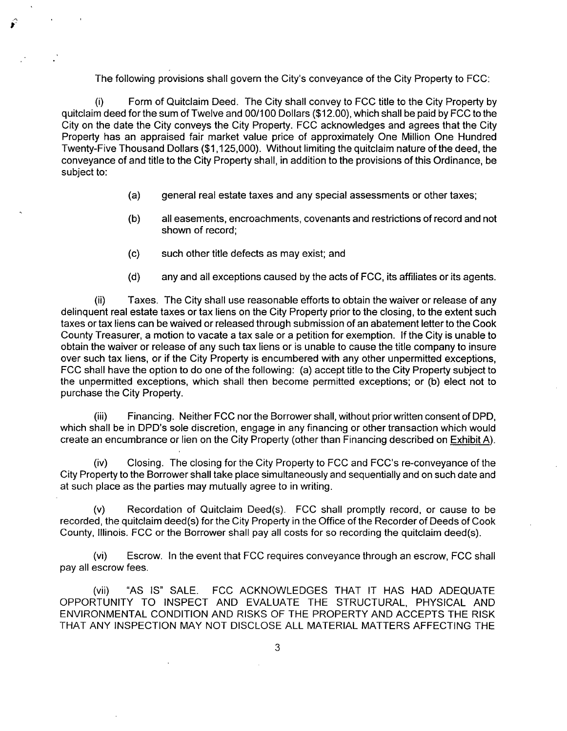The following provisions shall govern the City's conveyance of the City Property to FCC:

(i) Form of Quitclaim Deed. The City shall convey to FCC title to the City Property by quitclaim deed for the sum of Twelve and 00/100 Dollars (\$12.00), which shall be paid by FCC to the City on the date the City conveys the City Property. FCC acknowledges and agrees that the City Property has an appraised fair market value price of approximately One Million One Hundred Twenty-Five Thousand Dollars (\$1,125,000). Without limiting the quitclaim nature ofthe deed, the conveyance of and title to the City Property shall, in addition to the provisions of this Ordinance, be subject to:

- (a) general real estate taxes and any special assessments or other taxes;
- (b) all easements, encroachments, covenants and restrictions of record and not shown of record;
- (c) such other title defects as may exist; and
- (d) any and all exceptions caused by the acts of FCC, its affiliates or its agents.

(ii) Taxes. The City shall use reasonable efforts to obtain the waiver or release of any delinguent real estate taxes or tax liens on the City Property prior to the closing, to the extent such taxes or tax liens can be waived or released through submission of an abatement letter to the Cook County Treasurer, a motion to vacate a tax sale or a petition for exemption. If the City is unable to obtain the waiver or release of any such tax liens or is unable to cause the title company to insure over such tax liens, or if the City Property is encumbered with any other unpermitted exceptions, FCC shall have the option to do one of the following: (a) accept title to the City Property subject to the unpermitted exceptions, which shall then become permitted exceptions; or (b) elect not to purchase the City Property.

(iii) Financing. Neither FCC nor the Borrower shall, without prior written consent of DPD, which shall be in DPD's sole discretion, engage in any financing or other transaction which would create an encumbrance or lien on the City Property (other than Financing described on Exhibit A).

(iv) Closing. The closing for the City Property to FCC and FCC's re-conveyance of the City Property to the Borrower shall take place simultaneously and sequentially and on such date and at such place as the parties may mutually agree to in writing.

(v) Recordation of Quitclaim Deed(s). FCC shall promptly record, or cause to be recorded, the quitclaim deed(s) for the City Property in the Office of the Recorder of Deeds of Cook County, Illinois. FCC or the Borrower shall pay all costs for so recording the quitclaim deed(s).

(vi) Escrow. In the event that FCC requires conveyance through an escrow, FCC shall pay all escrow fees.

(vii) "AS IS" SALE. FCC ACKNOWLEDGES THAT IT HAS HAD ADEQUATE OPPORTUNITY TO INSPECT AND EVALUATE THE STRUCTURAL, PHYSICAL AND ENVIRONMENTAL CONDITION AND RISKS OF THE PROPERTY AND ACCEPTS THE RISK THAT ANY INSPECTION MAY NOT DISCLOSE ALL MATERIAL MATTERS AFFECTING THE

3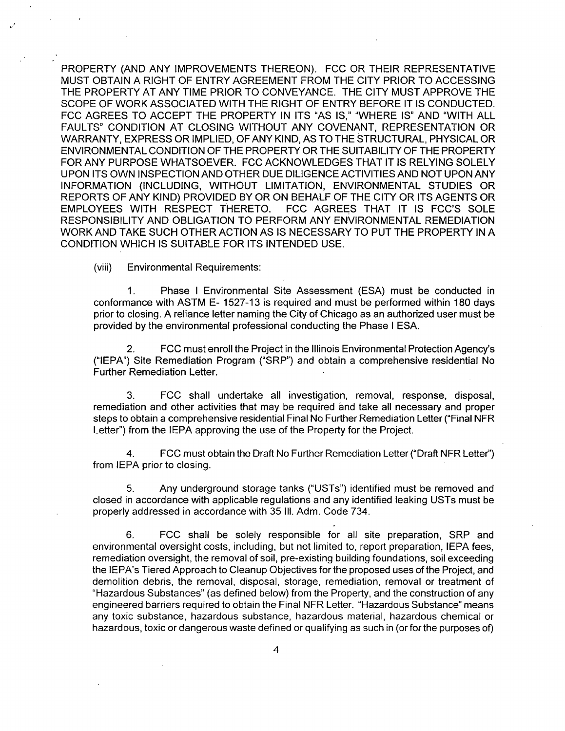PROPERTY (AND ANY IMPROVEMENTS THEREON). FCC OR THEIR REPRESENTATIVE MUST OBTAIN A RIGHT OF ENTRY AGREEMENT FROM THE CITY PRIOR TO ACCESSING THE PROPERTY AT ANY TIME PRIOR TO CONVEYANCE. THE CITY MUST APPROVE THE SCOPE OF WORK ASSOCIATED WITH THE RIGHT OF ENTRY BEFORE IT IS CONDUCTED. FCC AGREES TO ACCEPT THE PROPERTY IN ITS "AS IS," "WHERE IS" AND "WITH ALL FAULTS" CONDITION AT CLOSING WITHOUT ANY COVENANT, REPRESENTATION OR WARRANTY, EXPRESS OR IMPLIED, OF ANY KIND, AS TO THE STRUCTURAL, PHYSICAL OR ENVIRONMENTAL CONDITION OF THE PROPERTY OR THE SUITABILITY OF THE PROPERTY FOR ANY PURPOSE WHATSOEVER. FCC ACKNOWLEDGES THAT IT IS RELYING SOLELY UPON ITS OWN INSPECTION AND OTHER DUE DILIGENCE ACTIVITIES AND NOT UPON ANY INFORMATION (INCLUDING, WITHOUT LIMITATION, ENVIRONMENTAL STUDIES OR REPORTS OF ANY KIND) PROVIDED BY OR ON BEHALF OF THE CITY OR ITS AGENTS OR EMPLOYEES WITH RESPECT THERETO. FCC AGREES THAT IT IS FCC'S SOLE RESPONSIBILITY AND OBLIGATION TO PERFORM ANY ENVIRONMENTAL REMEDIATION WORK AND TAKE SUCH OTHER ACTION AS IS NECESSARY TO PUT THE PROPERTY IN A CONDITION WHICH IS SUITABLE FOR ITS INTENDED USE.

(viii) Environmental Requirements:

1. Phase I Environmental Site Assessment (ESA) must be conducted in conformance with ASTM E- 1527-13 is required and must be performed within 180 days prior to closing. A reliance letter naming the City of Chicago as an authorized user must be provided by the environmental professional conducting the Phase I ESA.

2. FCC must enroll the Project in the Illinois Environmental Protection Agency's ("lEPA") Site Remediation Program ("SRP") and obtain a comprehensive residential No Further Remediation Letter.

3. FCC shall undertake all investigation, removal, response, disposal, remediation and other activities that may be required and take all necessary and proper steps to obtain a comprehensive residential Final No Further Remediation Letter ("Final NFR Letter") from the IEPA approving the use of the Property for the Project.

4. FCC must obtain the Draft No Further Remediation Letter ("Draft NFR Letter") from lEPA prior to closing.

5. Any underground storage tanks ("USTs") identified must be removed and closed in accordance with applicable regulations and any identified leaking USTs must be properly addressed in accordance with 35 111. Adm. Code 734.

6. FCC shall be solely responsible for all site preparation, SRP and environmental oversight costs, including, but not limited to, report preparation, lEPA fees, remediation oversight, the removal of soil, pre-existing building foundations, soil exceeding the IEPA's Tiered Approach to Cleanup Objectives for the proposed uses of the Project, and demolition debris, the removal, disposal, storage, remediation, removal or treatment of "Hazardous Substances" (as defined below) from the Property, and the construction ofany engineered barriers required to obtain the Final NFR Letter. "Hazardous Substance" means any toxic substance, hazardous substance, hazardous material, hazardous chemical or hazardous, toxic or dangerous waste defined or qualifying as such in (or for the purposes of)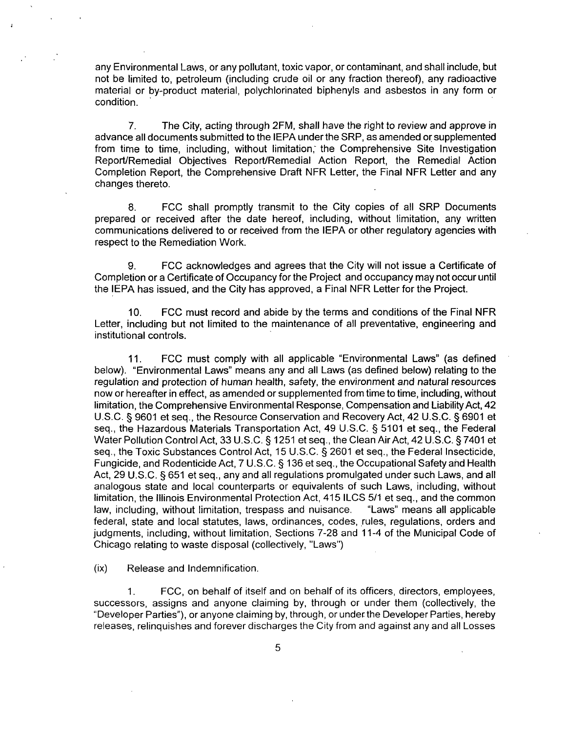any Environmental Laws, or any pollutant, toxic vapor, or contaminant, and shall include, but not be limited to, petroleum (including crude oil or any fraction thereof), any radioactive material or by-product material, polychlorinated biphenyls and asbestos in any form or condition.

7. The City, acting through 2FM, shall have the right to review and approve in advance all documents submitted to the lEPA under the SRP, as amended or supplemented from time to time, including, without limitation, the Comprehensive Site Investigation Report/Remedial Objectives Report/Remedial Action Report, the Remedial Action Completion Report, the Comprehensive Draft NFR Letter, the Final NFR Letter and any changes thereto.

8. FCC shall promptly transmit to the City copies of all SRP Documents prepared or received after the date hereof, including, without limitation, any written communications delivered to or received from the lEPA or other regulatory agencies with respect to the Remediation Work.

9. FCC acknowledges and agrees that the City will not issue a Certificate of Completion or a Certificate of Occupancy for the Project and occupancy may not occur until the lEPA has issued, and the City has approved, a Final NFR Letter for the Project.

10. FCC must record and abide by the terms and conditions of the Final NFR Letter, including but not limited to the maintenance of all preventative, engineering and institutional controls.

11. FCC must comply with all applicable "Environmental Laws" (as defined below). "Environmental Laws" means any and all Laws (as defined below) relating to the regulation and protection of human health, safety, the environment and natural resources now or hereafter in effect, as amended or supplemented from time to time, including, without limitation, the Comprehensive Environmental Response, Compensation and Liability Act, 42 U.S.C. § 9601 et seq., the Resource Conservation and Recovery Act, 42 U.S.C. § 6901 et seq., the Hazardous Materials Transportation Act, 49 U.S.C. § 5101 et seq., the Federal Water Pollution Control Act, 33 U.S.C. § 1251 et seq., the Clean Air Act, 42 U.S.C. § 7401 et seq., the Toxic Substances Control Act, 15 U.S.C. § 2601 et seq., the Federal Insecticide, Fungicide, and Rodenticide Act, 7 U.S.C. § 136 et seq., the Occupational Safety and Health Act, 29 U.S.C. § 651 et seq., any and all regulations promulgated under such Laws, and all analogous state and local counterparts or equivalents of such Laws, including, without limitation, the Illinois Environmental Protection Act, 415 ILCS 5/1 et seq., and the common law, including, without limitation, trespass and nuisance. "Laws" means all applicable federal, state and local statutes, laws, ordinances, codes, rules, regulations, orders and judgments, including, without limitation, Sections 7-28 and 11-4 ofthe Municipal Code of Chicago relating to waste disposal (collectively, "Laws")

(ix) Release and Indemnification.

1. FCC, on behalf of itself and on behalf of its officers, directors, employees, successors, assigns and anyone claiming by, through or under them (collectively, the "Developer Parties"), or anyone claiming by, through, or under the Developer Parties, hereby releases, relinquishes and forever discharges the City from and against any and all Losses

5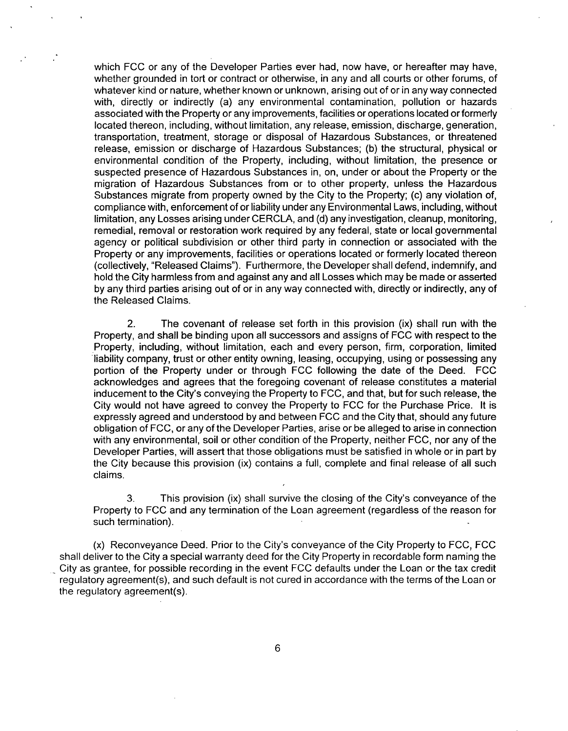which FCC or any of the Developer Parties ever had, now have, or hereafter may have, whether grounded in tort or contract or otherwise, in any and all courts or other forums, of whatever kind or nature, whether known or unknown, arising out of or in any way connected with, directly or indirectly (a) any environmental contamination, pollution or hazards associated with the Property or any improvements, facilities or operations located or formerly located thereon, including, without limitation, any release, emission, discharge, generation, transportation, treatment, storage or disposal of Hazardous Substances, or threatened release, emission or discharge of Hazardous Substances; (b) the structural, physical or environmental condition of the Property, including, without limitation, the presence or suspected presence of Hazardous Substances in, on, under or about the Property or the migration of Hazardous Substances from or to other property, unless the Hazardous Substances migrate from property owned by the City to the Property; (c) any violation of, compliance with, enforcement of or liability under any Environmental Laws, including, without limitation, any Losses arising under CERCLA, and (d) any investigation, cleanup, monitoring, remedial, removal or restoration work required by any federal, state or local governmental agency or political subdivision or other third party in connection or associated with the Property or any improvements, facilities or operations located or formerly located thereon (collectively, "Released Claims"). Furthermore, the Developer shall defend, indemnify, and hold the City harmless from and against any and all Losses which may be made or asserted by any third parties arising out of or in any way connected with, directly or indirectly, any of the Released Claims.

2. The covenant of release set forth in this provision (ix) shall run with the Property, and shall be binding upon all successors and assigns of FCC with respect to the Property, including, without limitation, each and every person, firm, corporation, limited liability company, trust or other entity owning, leasing, occupying, using or possessing any portion of the Property under or through FCC following the date of the Deed. FCC acknowledges and agrees that the foregoing covenant of release constitutes a material inducement to the City's conveying the Property to FCC, and that, but for such release, the City would not have agreed to convey the Property to FCC for the Purchase Price. It is expressly agreed and understood by and between FCC and the City that, should any future obligation of FCC, or any of the Developer Parties, arise or be alleged to arise in connection with any environmental, soil or other condition of the Property, neither FCC, nor any of the Developer Parties, will assert that those obligations must be satisfied in whole or in part by the City because this provision (ix) contains a full, complete and final release of all such claims.

3. This provision (ix) shall survive the closing of the City's conveyance of the Property to FCC and any termination of the Loan agreement (regardless of the reason for such termination).

(x) Reconveyance Deed. Prior to the City's conveyance of the City Property to FCC, FCC shall deliver to the City a special warranty deed for the City Property in recordable form naming the City as grantee, for possible recording in the event FCC defaults under the Loan or the tax credit regulatory agreement(s), and such default is not cured in accordance with the terms of the Loan or the regulatory agreement(s).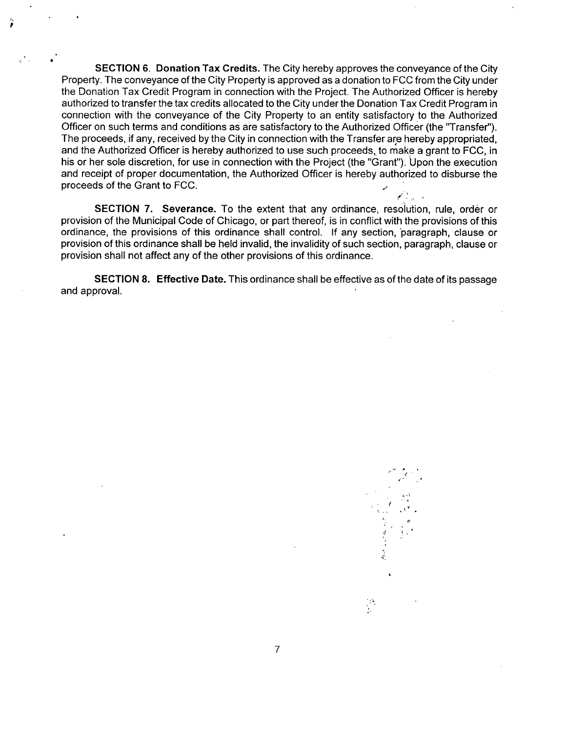SECTION 6. Donation Tax Credits. The City hereby approves the conveyance of the City Property. The conveyance of the City Property is approved as a donation to FCC from the City under the Donation Tax Credit Program in connection with the Project. The Authorized Officer is hereby authorized to transfer the tax credits allocated to the City under the Donation Tax Credit Program in connection with the conveyance of the City Property to an entity satisfactory to the Authorized Officer on such terms and conditions as are satisfactory to the Authorized Officer (the "Transfer"). The proceeds, if any, received by the City in connection with the Transfer are hereby appropriated, and the Authorized Officer is hereby authorized to use such proceeds, to make a grant to FCC, in his or her sole discretion, for use in connection with the Project (the "Grant"). Upon the execution and receipt of proper documentation, the Authorized Officer is hereby authorized to disburse the proceeds of the Grant to FCC. لدار الأنجم

SECTION 7. Severance. To the extent that any ordinance, resolution, rule, order or provision of the Municipal Code of Chicago, or part thereof, is in conflict with the provisions of this ordinance, the provisions of this ordinance shall control. If any section, paragraph, clause or provision of this ordinance shall be held invalid, the invalidity of such section, paragraph, clause or provision shall not affect any of the other provisions of this ordinance.

SECTION 8. Effective Date. This ordinance shall be effective as of the date of its passage and approval.

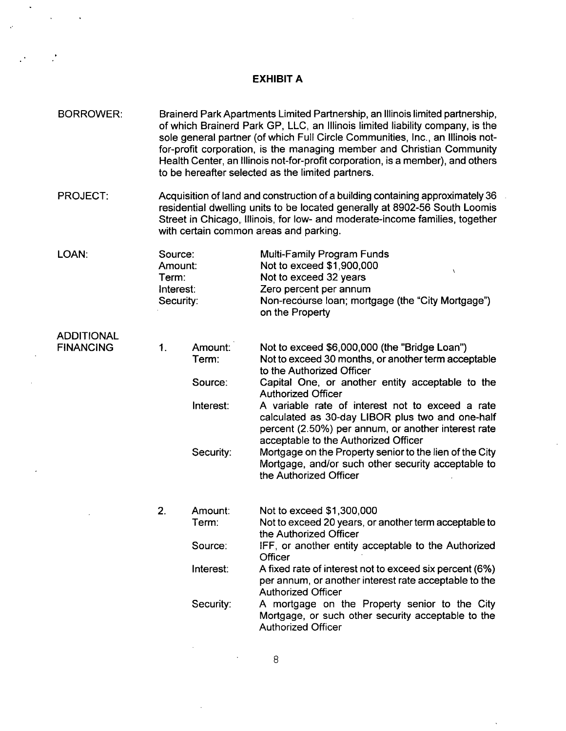#### **EXHIBIT A**

- BORROWER: Brainerd Park Apartments Limited Partnership, an Illinois limited partnership, of which Brainerd Park GP, LLC, an Illinois limited liability company, is the sole general partner (of which Full Circle Communities, Inc., an Illinois notfor-profit corporation, is the managing member and Christian Community Health Center, an Illinois not-for-profit corporation, is a member), and others to be hereafter selected as the limited partners.
- PROJECT: Acquisition of land and construction of a building containing approximately 36 residential dwelling units to be located generally at 8902-56 South Loomis Street in Chicago, Illinois, for low- and moderate-income families, together with certain common areas and parking.

LOAN: Source: Amount: Term: Interest: Security: Multi-Family Program Funds Not to exceed \$1,900,000 Not to exceed 32 years Zero percent per annum Non-recourse loan; mortgage (the "City Mortgage") on the Property

#### ADDITIONAL FINANCING 1.

| Amount:<br>Term: | Not to exceed \$6,000,000 (the "Bridge Loan")<br>Not to exceed 30 months, or another term acceptable                                                                                                |
|------------------|-----------------------------------------------------------------------------------------------------------------------------------------------------------------------------------------------------|
| Source:          | to the Authorized Officer<br>Capital One, or another entity acceptable to the                                                                                                                       |
|                  | <b>Authorized Officer</b>                                                                                                                                                                           |
| Interest:        | A variable rate of interest not to exceed a rate<br>calculated as 30-day LIBOR plus two and one-half<br>percent (2.50%) per annum, or another interest rate<br>acceptable to the Authorized Officer |
| Security:        | Mortgage on the Property senior to the lien of the City<br>Mortgage, and/or such other security acceptable to<br>the Authorized Officer                                                             |

| 2. | Amount:   | Not to exceed \$1,300,000                                                                                                                     |
|----|-----------|-----------------------------------------------------------------------------------------------------------------------------------------------|
|    | Term∶     | Not to exceed 20 years, or another term acceptable to                                                                                         |
|    |           | the Authorized Officer                                                                                                                        |
|    | Source:   | IFF, or another entity acceptable to the Authorized<br>Officer                                                                                |
|    | Interest: | A fixed rate of interest not to exceed six percent (6%)<br>per annum, or another interest rate acceptable to the<br><b>Authorized Officer</b> |
|    | Security: | A mortgage on the Property senior to the City<br>Mortgage, or such other security acceptable to the<br><b>Authorized Officer</b>              |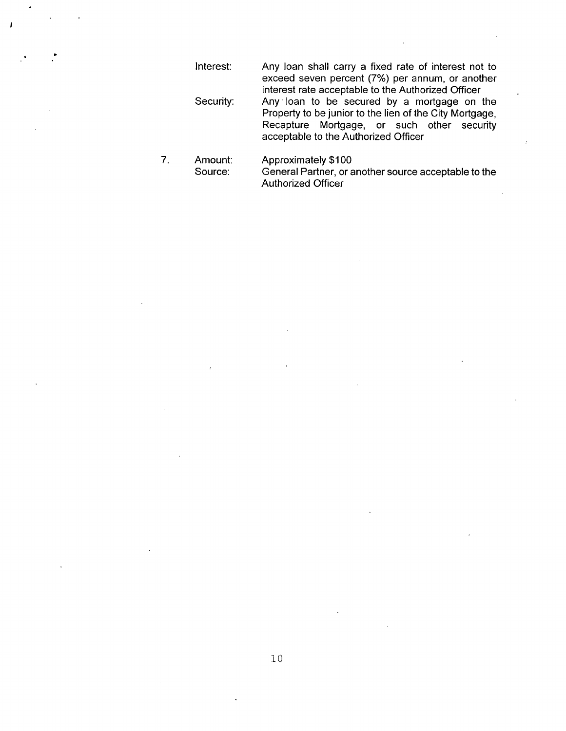Interest: Any loan shall carry a fixed rate of interest not to exceed seven percent (7%) per annum, or another interest rate acceptable to the Authorized Officer Security: Any loan to be secured by a mortgage on the Property to be junior to the lien of the City Mortgage, Recapture Mortgage, or such other security acceptable to the Authorized Officer

 $7.$ Amount: Approximately \$100<br>Source: General Partner, or a General Partner, or another source acceptable to the Authorized Officer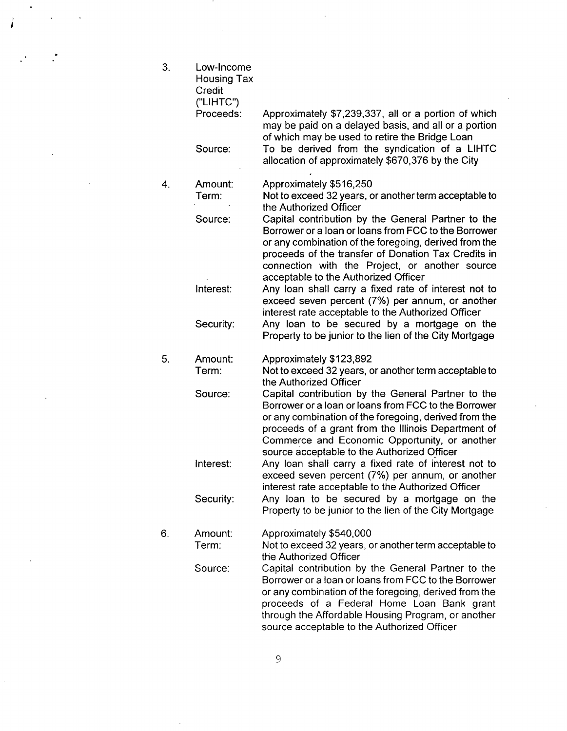$3.$ Low-Income Housing Tax **Credit** ("LIHTC") Proceeds: Approximately \$7,239,337, all or a portion of which may be paid on a delayed basis, and all or a portion of which may be used to retire the Bridge Loan To be derived from the syndication of a LIHTC Source: allocation of approximately \$670,376 by the City  $\overline{4}$ . Amount: Approximately \$516,250 Not to exceed 32 years, or another term acceptable to Term: the Authorized Officer Source: Capital contribution by the General Partner to the Borrower or a loan or loans from FCC to the Borrower or any combination of the foregoing, derived from the proceeds of the transfer of Donation Tax Credits in connection with the Project, or another source acceptable to the Authorized Officer Interest: Any loan shall carry a fixed rate of interest not to exceed seven percent (7%) per annum, or another interest rate acceptable to the Authorized Officer Any loan to be secured by a mortgage on the Security: Property to be junior to the lien of the City Mortgage  $5.$ Amount: Approximately \$123,892 Not to exceed 32 years, or another term acceptable to Term: the Authorized Officer Capital contribution by the General Partner to the Source: Borrower or a loan or loans from FCC to the Borrower or any combination of the foregoing, derived from the proceeds of a grant from the Illinois Department of Commerce and Economic Opportunity, or another source acceptable to the Authorized Officer Any loan shall carry a fixed rate of interest not to Interest: exceed seven percent (7%) per annum, or another interest rate acceptable to the Authorized Officer Any loan to be secured by a mortgage on the Security: Property to be junior to the lien of the City Mortgage 6. Amount: Approximately \$540,000 Term: Not to exceed 32 years, or another term acceptable to the Authorized Officer Capital contribution by the General Partner to the Source: Borrower or a loan or loans from FCC to the Borrower or any combination of the foregoing, derived from the proceeds of a Federal Home Loan Bank grant through the Affordable Housing Program, or another source acceptable to the Authorized Officer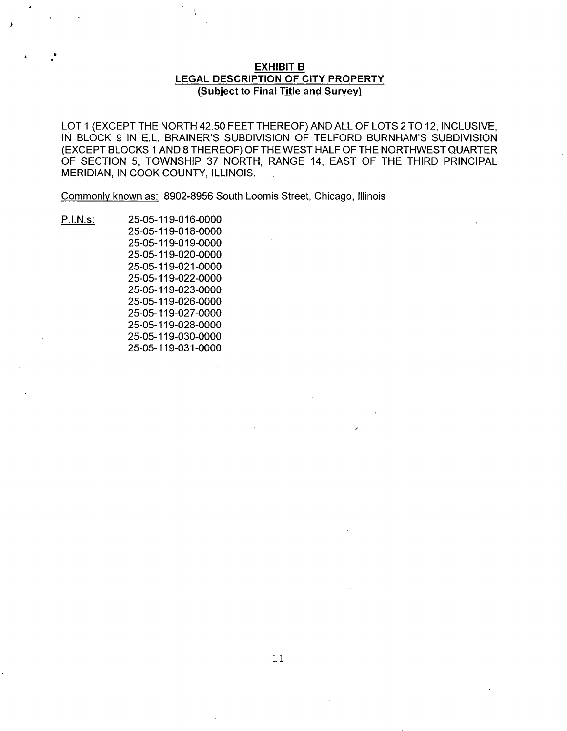# **EXHIBIT B LEGAL DESCRIPTION OF CITY PROPERTY (Subject to Final Title and Survey)**

LOT 1 (EXCEPT THE NORTH 42.50 FEET THEREOF) AND ALL OF LOTS 2 TO 12, INCLUSIVE, IN BLOCK 9 IN E.L BRAINER'S SUBDIVISION OF TELFORD BURNHAM'S SUBDIVISION (EXCEPT BLOCKS 1 AND 8 THEREOF) OF THE WEST HALF OF THE NORTHWEST QUARTER OF SECTION 5, TOWNSHIP 37 NORTH, RANGE 14, EAST OF THE THIRD PRINCIPAL MERIDIAN, IN COOK COUNTY, ILLINOIS.

Commonly known as: 8902-8956 South Loomis Street, Chicago, Illinois

P.I.N.s: 25-05-119-016-0000

25-05-119-018-0000 25-05-119-019-0000 25-05-119-020-0000 25-05-119-021-0000 25-05-119-022-0000 25-05-119-023-0000 25-05-119-026-0000 25-05-119-027-0000 25-05-119-028-0000 25-05-119-030-0000 25-05-119-031-0000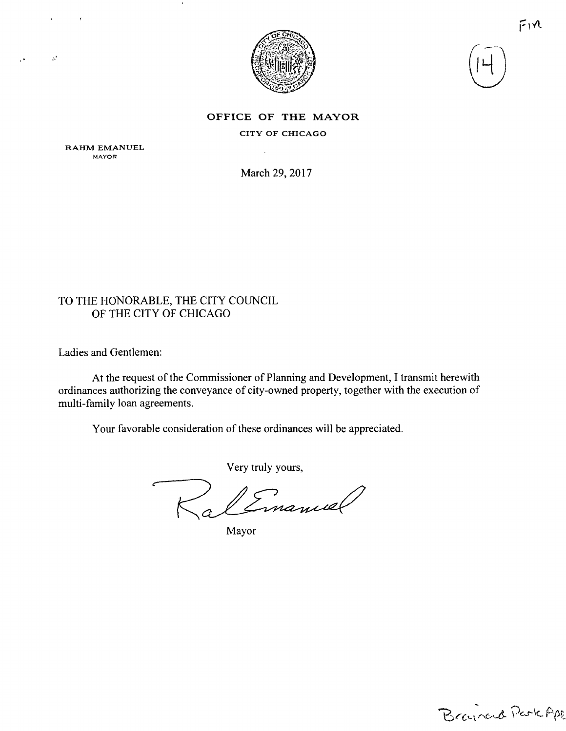



 $F1V$ 

## OFFICE OF THE MAYOR

CITY OF CHICAGO

RAHM EMANUEL MAYOR

 $\pmb{\mathsf{f}}$ 

 $\mathcal{S}^{\prime}$ 

March 29, 2017

# TO THE HONORABLE, THE CITY COUNCIL OF THE CITY OF CHICAGO

Ladies and Gentlemen:

At the request of the Commissioner of Planning and Development, I transmit herewith ordinances authorizing the conveyance of city-owned property, together with the execution of multi-family loan agreements.

Your favorable consideration of these ordinances will be appreciated.

Very truly yours,

Emanuel

Mayor

Brainerd Perk Apt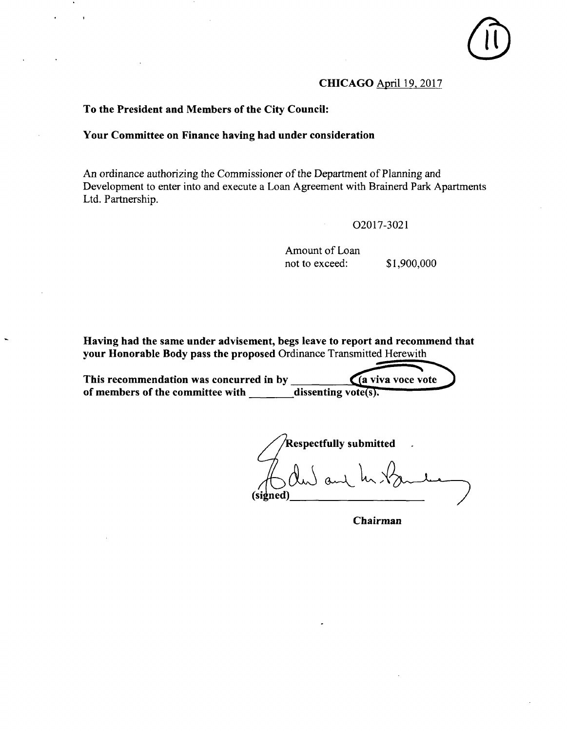# **CHICAGO April 19.2017**

**To the President and Members of the City Council:** 

# **Your Committee on Finance having had under consideration**

An ordinance authorizing the Commissioner of the Department of Planning and Development to enter into and execute a Loan Agreement with Brainerd Park Apartments Ltd. Partnership.

02017-3021

Amount of Loan not to exceed: \$1,900,000

Having had the same under advisement, begs leave to report and recommend that your Honorable Body pass the proposed Ordinance Transmitted Herewith

**This recommendation was concurred in by**   $(a$  viva voce vote of members of the committee with dissenting vote(s).

**espectfuUy submitted**   $\int$  and **(signed)** 

**Chairman**